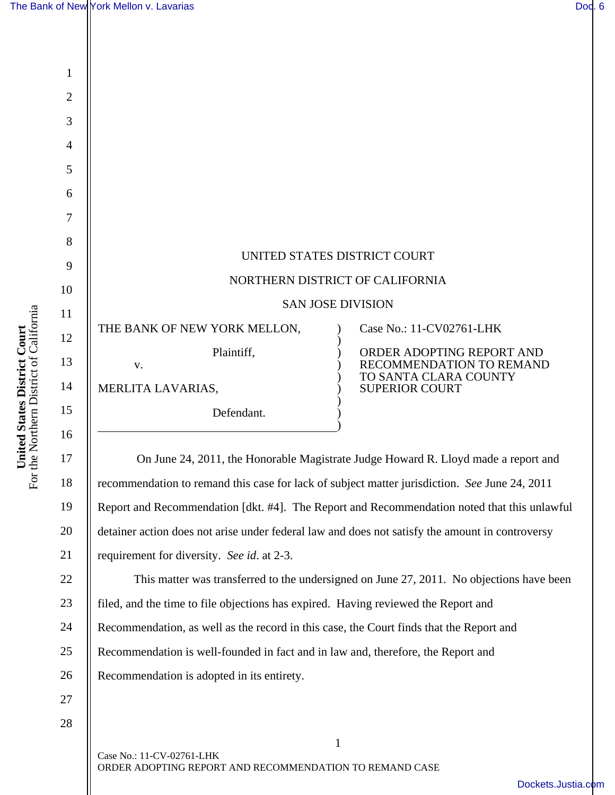1

2

3

4

5

6

7

8

9

10

11

12

13

14

15

16

I

17

18

19

20

21

| UNITED STATES DISTRICT COURT    |                                                                                |
|---------------------------------|--------------------------------------------------------------------------------|
| NORTHERN DISTRICT OF CALIFORNIA |                                                                                |
| <b>SAN JOSE DIVISION</b>        |                                                                                |
| THE BANK OF NEW YORK MELLON,    | Case No.: 11-CV02761-LHK                                                       |
| Plaintiff,<br>V.                | ORDER ADOPTING REPORT AND<br>RECOMMENDATION TO REMAND<br>TO SANTA CLARA COUNTY |
| MERLITA LAVARIAS,               | <b>SUPERIOR COURT</b>                                                          |
| Defendant.                      |                                                                                |
|                                 |                                                                                |

 On June 24, 2011, the Honorable Magistrate Judge Howard R. Lloyd made a report and recommendation to remand this case for lack of subject matter jurisdiction. *See* June 24, 2011 Report and Recommendation [dkt. #4]. The Report and Recommendation noted that this unlawful detainer action does not arise under federal law and does not satisfy the amount in controversy requirement for diversity. *See id*. at 2-3.

22 23 24 25 26 This matter was transferred to the undersigned on June 27, 2011. No objections have been filed, and the time to file objections has expired. Having reviewed the Report and Recommendation, as well as the record in this case, the Court finds that the Report and Recommendation is well-founded in fact and in law and, therefore, the Report and Recommendation is adopted in its entirety.

1

27 28